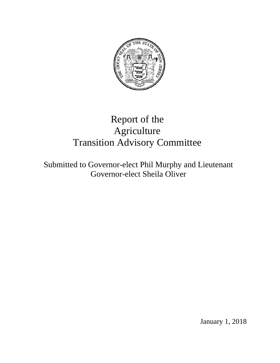

# Report of the Agriculture Transition Advisory Committee

Submitted to Governor-elect Phil Murphy and Lieutenant Governor-elect Sheila Oliver

January 1, 2018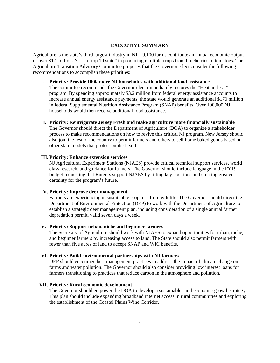#### **EXECUTIVE SUMMARY**

Agriculture is the state's third largest industry in NJ – 9,100 farms contribute an annual economic output of over \$1.1 billion. NJ is a "top 10 state" in producing multiple crops from blueberries to tomatoes. The Agriculture Transition Advisory Committee proposes that the Governor-Elect consider the following recommendations to accomplish these priorities:

#### **I. Priority: Provide 100k more NJ households with additional food assistance**

The committee recommends the Governor-elect immediately restores the "Heat and Eat" program. By spending approximately \$3.2 million from federal energy assistance accounts to increase annual energy assistance payments, the state would generate an additional \$170 million in federal Supplemental Nutrition Assistance Program (SNAP) benefits. Over 100,000 NJ households would then receive additional food assistance.

### **II. Priority: Reinvigorate Jersey Fresh and make agriculture more financially sustainable**

The Governor should direct the Department of Agriculture (DOA) to organize a stakeholder process to make recommendations on how to revive this critical NJ program. New Jersey should also join the rest of the country to permit farmers and others to sell home baked goods based on other state models that protect public health.

## **III. Priority: Enhance extension services**

NJ Agricultural Experiment Stations (NJAES) provide critical technical support services, world class research, and guidance for farmers. The Governor should include language in the FY19 budget requesting that Rutgers support NJAES by filling key positions and creating greater certainty for the program's future.

## **IV. Priority: Improve deer management**

Farmers are experiencing unsustainable crop loss from wildlife. The Governor should direct the Department of Environmental Protection (DEP) to work with the Department of Agriculture to establish a strategic deer management plan, including consideration of a single annual farmer depredation permit, valid seven days a week.

# **V. Priority: Support urban, niche and beginner farmers**

The Secretary of Agriculture should work with NJAES to expand opportunities for urban, niche, and beginner farmers by increasing access to land. The State should also permit farmers with fewer than five acres of land to accept SNAP and WIC benefits.

## **VI. Priority: Build environmental partnerships with NJ farmers**

DEP should encourage best management practices to address the impact of climate change on farms and water pollution. The Governor should also consider providing low interest loans for farmers transitioning to practices that reduce carbon in the atmosphere and pollution.

## **VII. Priority: Rural economic development**

The Governor should empower the DOA to develop a sustainable rural economic growth strategy. This plan should include expanding broadband internet access in rural communities and exploring the establishment of the Coastal Plains Wine Corridor.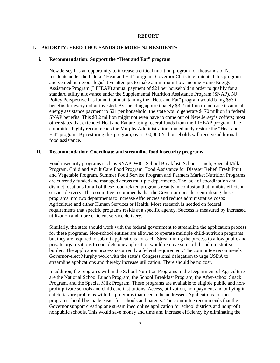#### **REPORT**

### **I. PRIORITY: FEED THOUSANDS OF MORE NJ RESIDENTS**

#### **i. Recommendation: Support the "Heat and Eat" program**

New Jersey has an opportunity to increase a critical nutrition program for thousands of NJ residents under the federal "Heat and Eat" program. Governor Christie eliminated this program and vetoed numerous legislative attempts to make a minimum Low Income Home Energy Assistance Program (LIHEAP) annual payment of \$21 per household in order to qualify for a standard utility allowance under the Supplemental Nutrition Assistance Program (SNAP). NJ Policy Perspective has found that maintaining the "Heat and Eat" program would bring \$53 in benefits for every dollar invested. By spending approximately \$3.2 million to increase its annual energy assistance payment to \$21 per household, the state would generate \$170 million in federal SNAP benefits. This \$3.2 million might not even have to come out of New Jersey's coffers; most other states that extended Heat and Eat are using federal funds from the LIHEAP program. The committee highly recommends the Murphy Administration immediately restore the "Heat and Eat" program. By restoring this program, over 100,000 NJ households will receive additional food assistance.

## **ii. Recommendation: Coordinate and streamline food insecurity programs**

Food insecurity programs such as SNAP, WIC, School Breakfast, School Lunch, Special Milk Program, Child and Adult Care Food Program, Food Assistance for Disaster Relief, Fresh Fruit and Vegetable Program, Summer Food Service Program and Farmers Market Nutrition Programs are currently funded and managed across multiple departments. The lack of coordination and distinct locations for all of these food related programs results in confusion that inhibits efficient service delivery. The committee recommends that the Governor consider centralizing these programs into two departments to increase efficiencies and reduce administrative costs: Agriculture and either Human Services or Health. More research is needed on federal requirements that specific programs reside at a specific agency. Success is measured by increased utilization and more efficient service delivery.

Similarly, the state should work with the federal government to streamline the application process for these programs. Non-school entities are allowed to operate multiple child-nutrition programs but they are required to submit applications for each. Streamlining the process to allow public and private organizations to complete one application would remove some of the administrative burden. The application process is currently a federal requirement. The committee recommends Governor-elect Murphy work with the state's Congressional delegation to urge USDA to streamline applications and thereby increase utilization. There should be no cost.

In addition, the programs within the School Nutrition Programs in the Department of Agriculture are the National School Lunch Program, the School Breakfast Program, the After-school Snack Program, and the Special Milk Program. These programs are available to eligible public and nonprofit private schools and child care institutions. Access, utilization, non-payment and bullying in cafeterias are problems with the programs that need to be addressed. Applications for these programs should be made easier for schools and parents. The committee recommends that the Governor support creating one streamlined online application for school districts and nonprofit nonpublic schools. This would save money and time and increase efficiency by eliminating the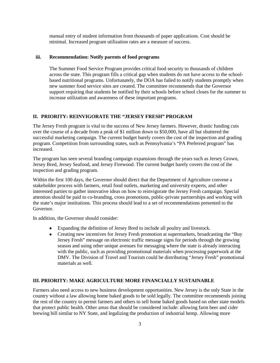manual entry of student information from thousands of paper applications. Cost should be minimal. Increased program utilization rates are a measure of success.

### **iii. Recommendation: Notify parents of food programs**

The Summer Food Service Program provides critical food security to thousands of children across the state. This program fills a critical gap when students do not have access to the schoolbased nutritional programs. Unfortunately, the DOA has failed to notify students promptly when new summer food service sites are created. The committee recommends that the Governor support requiring that students be notified by their schools before school closes for the summer to increase utilization and awareness of these important programs.

## **II. PRIORITY: REINVIGORATE THE "JERSEY FRESH" PROGRAM**

The Jersey Fresh program is vital to the success of New Jersey farmers. However, drastic funding cuts over the course of a decade from a peak of \$1 million down to \$50,000, have all but shuttered the successful marketing campaign. The current budget barely covers the cost of the inspection and grading program. Competition from surrounding states, such as Pennsylvania's "PA Preferred program" has increased.

The program has seen several branding campaign expansions through the years such as Jersey Grown, Jersey Bred, Jersey Seafood, and Jersey Firewood. The current budget barely covers the cost of the inspection and grading program.

Within the first 100 days, the Governor should direct that the Department of Agriculture convene a stakeholder process with farmers, retail food outlets, marketing and university experts, and other interested parties to gather innovative ideas on how to reinvigorate the Jersey Fresh campaign. Special attention should be paid to co-branding, cross promotions, public-private partnerships and working with the state's major institutions. This process should lead to a set of recommendations presented to the Governor.

In addition, the Governor should consider:

- Expanding the definition of Jersey Bred to include all poultry and livestock.
- Creating new incentives for Jersey Fresh promotion at supermarkets, broadcasting the "Buy Jersey Fresh" message on electronic traffic message signs for periods through the growing season and using other unique avenues for messaging where the state is already interacting with the public, such as providing promotional materials when processing paperwork at the DMV. The Division of Travel and Tourism could be distributing "Jersey Fresh" promotional materials as well.

## **III. PRIORITY: MAKE AGRICULTURE MORE FINANCIALLY SUSTAINABLE**

Farmers also need access to new business development opportunities. New Jersey is the only State in the country without a law allowing home baked goods to be sold legally. The committee recommends joining the rest of the country to permit farmers and others to sell home baked goods based on other state models that protect public health. Other areas that should be considered include: allowing farm beer and cider brewing bill similar to NY State, and legalizing the production of industrial hemp. Allowing more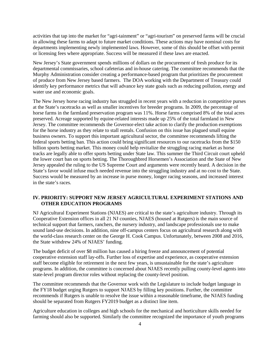activities that tap into the market for "agri-tainment" or "agri-tourism" on preserved farms will be crucial in allowing these farms to adapt to future market conditions. These actions may have nominal costs for departments implementing newly implemented laws. However, some of this should be offset with permit or licensing fees where appropriate. Success will be measured if these laws are enacted.

New Jersey's State government spends millions of dollars on the procurement of fresh produce for its departmental commissaries, school cafeterias and in-house catering. The committee recommends that the Murphy Administration consider creating a performance-based program that prioritizes the procurement of produce from New Jersey based farmers. The DOA working with the Department of Treasury could identify key performance metrics that will advance key state goals such as reducing pollution, energy and water use and economic goals.

The New Jersey horse racing industry has struggled in recent years with a reduction in competitive purses at the State's racetracks as well as smaller incentives for breeder programs. In 2009, the percentage of horse farms in the farmland preservation program was 11%. Horse farms comprised 8% of the total acres preserved. Acreage supported by equine-related interests made up 25% of the total farmland in New Jersey. The committee recommends the Governor-elect take action to clarify the production exemptions for the horse industry as they relate to stall rentals. Confusion on this issue has plagued small equine business owners. To support this important agricultural sector, the committee recommends lifting the federal sports betting ban. This action could bring significant resources to our racetracks from the \$150 billion sports betting market. This money could help revitalize the struggling racing market as horse tracks are legally able to offer sports betting under State law. This summer the Third Circuit court upheld the lower court ban on sports betting. The Thoroughbred Horsemen's Association and the State of New Jersey appealed the ruling to the US Supreme Court and arguments were recently heard. A decision in the State's favor would infuse much needed revenue into the struggling industry and at no cost to the State. Success would be measured by an increase in purse money, longer racing seasons, and increased interest in the state's races.

# **IV. PRIORITY: SUPPORT NEW JERSEY AGRICULTURAL EXPERIMENT STATIONS AND OTHER EDUCATION PROGRAMS**

NJ Agricultural Experiment Stations (NJAES) are critical to the state's agriculture industry. Through its Cooperative Extension offices in all 21 NJ counties, NJAES (housed at Rutgers) is the main source of technical support that farmers, ranchers, the nursery industry, and landscape professionals use to make sound land-use decisions. In addition, nine off-campus centers focus on agricultural research along with the world-class research center on the George H. Cook Campus. Unfortunately, between 2008 and 2016, the State withdrew 24% of NJAES' funding.

The budget deficit of over \$8 million has caused a hiring freeze and announcement of potential cooperative extension staff lay-offs. Further loss of expertise and experience, as cooperative extension staff become eligible for retirement in the next few years, is unsustainable for the state's agriculture programs. In addition, the committee is concerned about NJAES recently pulling county-level agents into state-level program director roles without replacing the county-level position.

The committee recommends that the Governor work with the Legislature to include budget language in the FY18 budget urging Rutgers to support NJAES by filling key positions. Further, the committee recommends if Rutgers is unable to resolve the issue within a reasonable timeframe, the NJAES funding should be separated from Rutgers FY2019 budget as a distinct line item.

Agriculture education in colleges and high schools for the mechanical and horticulture skills needed for farming should also be supported. Similarly the committee recognized the importance of youth programs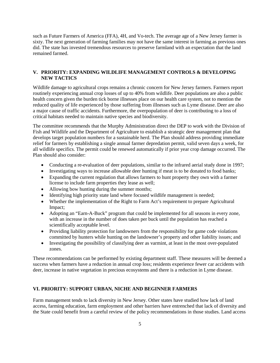such as Future Farmers of America (FFA), 4H, and Vo-tech. The average age of a New Jersey farmer is sixty. The next generation of farming families may not have the same interest in farming as previous ones did. The state has invested tremendous resources to preserve farmland with an expectation that the land remained farmed.

# **V. PRIORITY: EXPANDING WILDLIFE MANAGEMENT CONTROLS & DEVELOPING NEW TACTICS**

Wildlife damage to agricultural crops remains a chronic concern for New Jersey farmers. Farmers report routinely experiencing annual crop losses of up to 40% from wildlife. Deer populations are also a public health concern given the burden tick borne illnesses place on our health care system, not to mention the reduced quality of life experienced by those suffering from illnesses such as Lyme disease. Deer are also a major cause of traffic accidents. Furthermore, the overpopulation of deer is contributing to a loss of critical habitats needed to maintain native species and biodiversity.

The committee recommends that the Murphy Administration direct the DEP to work with the Division of Fish and Wildlife and the Department of Agriculture to establish a strategic deer management plan that develops target population numbers for a sustainable herd. The Plan should address providing immediate relief for farmers by establishing a single annual farmer depredation permit, valid seven days a week, for all wildlife specifics. The permit could be renewed automatically if prior year crop damage occurred. The Plan should also consider:

- Conducting a re-evaluation of deer populations, similar to the infrared aerial study done in 1997;
- Investigating ways to increase allowable deer hunting if meat is to be donated to food banks;
- Expanding the current regulation that allows farmers to hunt property they own with a farmer license to include farm properties they lease as well;
- Allowing bow hunting during the summer months;
- Identifying high priority state land where focused wildlife management is needed;
- Whether the implementation of the Right to Farm Act's requirement to prepare Agricultural Impact;
- Adopting an "Earn-A-Buck" program that could be implemented for all seasons in every zone, with an increase in the number of does taken per buck until the population has reached a scientifically acceptable level.
- Providing liability protection for landowners from the responsibility for game code violations committed by hunters while hunting on the landowner's property and other liability issues; and
- Investigating the possibility of classifying deer as varmint, at least in the most over-populated zones.

These recommendations can be performed by existing department staff. These measures will be deemed a success when farmers have a reduction in annual crop loss; residents experience fewer car accidents with deer, increase in native vegetation in precious ecosystems and there is a reduction in Lyme disease.

# **VI. PRIORITY: SUPPORT URBAN, NICHE AND BEGINNER FARMERS**

Farm management tends to lack diversity in New Jersey. Other states have studied how lack of land access, farming education, farm employment and other barriers have entrenched that lack of diversity and the State could benefit from a careful review of the policy recommendations in those studies. Land access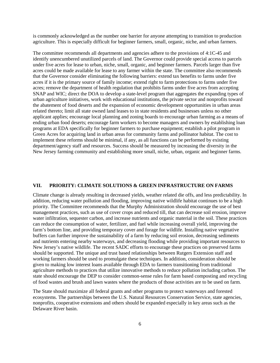is commonly acknowledged as the number one barrier for anyone attempting to transition to production agriculture. This is especially difficult for beginner farmers, small, organic, niche, and urban farmers.

The committee recommends all departments and agencies adhere to the provisions of 4:1C-45 and identify unencumbered unutilized parcels of land. The Governor could provide special access to parcels under five acres for lease to urban, niche, small, organic, and beginner farmers. Parcels larger than five acres could be made available for lease to any farmer within the state. The committee also recommends that the Governor consider eliminating the following barriers: extend tax benefits to farms under five acres if it is the primary source of family income; extend right to farm protections to farms under five acres; remove the department of health regulation that prohibits farms under five acres from accepting SNAP and WIC; direct the DOA to develop a state-level program that aggregates the expanding types of urban agriculture initiatives, work with educational institutions, the private sector and nonprofits toward the abatement of food deserts and the expansion of economic development opportunities in urban areas related thereto; limit all state owned land leases to in state residents and businesses unless no other applicant applies; encourage local planning and zoning boards to encourage urban farming as a means of ending urban food deserts; encourage farm workers to become managers and owners by establishing loan programs at EDA specifically for beginner farmers to purchase equipment; establish a pilot program in Green Acres for acquiring land in urban areas for community farms and pollinator habitat. The cost to implement these reforms should be minimal, if any, as all functions can be performed by existing department/agency staff and resources. Success should be measured by increasing the diversity in the New Jersey farming community and establishing more small, niche, urban, organic and beginner farms.

#### **VII. PRIORITY: CLIMATE SOLUTIONS & GREEN INFRASTRUCTURE ON FARMS**

Climate change is already resulting in decreased yields, weather related die offs, and less predictability. In addition, reducing water pollution and flooding, improving native wildlife habitat continues to be a high priority. The Committee recommends that the Murphy Administration should encourage the use of best management practices, such as use of cover crops and reduced till, that can decrease soil erosion, improve water infiltration, sequester carbon, and increase nutrients and organic material in the soil. These practices can reduce the consumption of water, fertilizer, and fuel while increasing overall yield, improving the farm's bottom line, and providing temporary cover and forage for wildlife. Installing native vegetative buffers can further improve the sustainability of a farm by reducing soil erosion, decreasing sediments and nutrients entering nearby waterways, and decreasing flooding while providing important resources to New Jersey's native wildlife. The recent SADC efforts to encourage these practices on preserved farms should be supported. The unique and trust based relationships between Rutgers Extension staff and working farmers should be used to promulgate these techniques. In addition, consideration should be given to making low interest loans available through EDA to farmers transitioning from traditional agriculture methods to practices that utilize innovative methods to reduce pollution including carbon. The state should encourage the DEP to consider common-sense rules for farm based composting and recycling of food wastes and brush and lawn wastes where the products of those activities are to be used on farm.

The State should maximize all federal grants and other programs to protect waterways and forested ecosystems. The partnerships between the U.S. Natural Resources Conservation Service, state agencies, nonprofits, cooperative extensions and others should be expanded especially in key areas such as the Delaware River basin.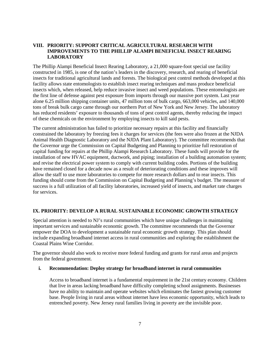# **VIII. PRIORITY: SUPPORT CRITICAL AGRICULTURAL RESEARCH WITH IMPROVEMENTS TO THE PHILLIP ALAMPI BENEFICIAL INSECT REARING LABORATORY**

The Phillip Alampi Beneficial Insect Rearing Laboratory, a 21,000 square-foot special use facility constructed in 1985, is one of the nation's leaders in the discovery, research, and rearing of beneficial insects for traditional agricultural lands and forests. The biological pest control methods developed at this facility allows state entomologists to establish insect rearing techniques and mass produce beneficial insects which, when released, help reduce invasive insect and weed populations. These entomologists are the first line of defense against pest exposure from imports through our massive port system. Last year alone 6.25 million shipping container units, 47 million tons of bulk cargo, 663,000 vehicles, and 140,000 tons of break bulk cargo came through our northern Port of New York and New Jersey. The laboratory has reduced residents' exposure to thousands of tons of pest control agents, thereby reducing the impact of these chemicals on the environment by employing insects to kill said pests.

The current administration has failed to prioritize necessary repairs at this facility and financially constrained the laboratory by freezing fees it charges for services (the fees were also frozen at the NJDA Animal Health Diagnostic Laboratory and the NJDA Plant Laboratory). The committee recommends that the Governor urge the Commission on Capital Budgeting and Planning to prioritize full restoration of capital funding for repairs at the Phillip Alampi Research Laboratory. These funds will provide for the installation of new HVAC equipment, ductwork, and piping; installation of a building automation system; and revise the electrical power system to comply with current building codes. Portions of the building have remained closed for a decade now as a result of deteriorating conditions and these improves will allow the staff to use more laboratories to compete for more research dollars and to rear insects. This funding should come from the Commission on Capital Budgeting and Planning's budget. The measure of success is a full utilization of all facility laboratories, increased yield of insects, and market rate charges for services.

# **IX. PRIORITY: DEVELOP A RURAL SUSTAINABLE ECONOMIC GROWTH STRATEGY**

Special attention is needed to NJ's rural communities which have unique challenges in maintaining important services and sustainable economic growth. The committee recommends that the Governor empower the DOA to development a sustainable rural economic growth strategy. This plan should include expanding broadband internet access in rural communities and exploring the establishment the Coastal Plains Wine Corridor.

The governor should also work to receive more federal funding and grants for rural areas and projects from the federal government.

## **i. Recommendation: Deploy strategy for broadband internet in rural communities**

Access to broadband internet is a fundamental requirement in the 21st century economy. Children that live in areas lacking broadband have difficulty completing school assignments. Businesses have no ability to maintain and operate websites which eliminates the fastest growing customer base. People living in rural areas without internet have less economic opportunity, which leads to entrenched poverty. New Jersey rural families living in poverty are the invisible poor.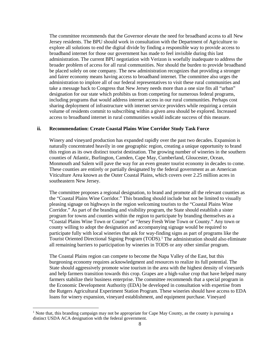The committee recommends that the Governor elevate the need for broadband access to all New Jersey residents. The BPU should work in consultation with the Department of Agriculture to explore all solutions to end the digital divide by finding a responsible way to provide access to broadband internet for those our government has made to feel invisible during this last administration. The current BPU negotiation with Verizon is woefully inadequate to address the broader problem of access for all rural communities. Nor should the burden to provide broadband be placed solely on one company. The new administration recognizes that providing a stronger and fairer economy means having access to broadband internet. The committee also urges the administration to implore all of our federal representatives to visit these rural communities and take a message back to Congress that New Jersey needs more than a one size fits all "urban" designation for our state which prohibits us from competing for numerous federal programs, including programs that would address internet access in our rural communities. Perhaps cost sharing deployment of infrastructure with internet service providers while requiring a certain volume of residents commit to subscribing within a given area should be explored. Increased access to broadband internet in rural communities would indicate success of this measure.

# **ii. Recommendation: Create Coastal Plains Wine Corridor Study Task Force**

Winery and vineyard production has expanded rapidly over the past two decades. Expansion is naturally concentrated heavily in one geographic region, creating a unique opportunity to brand this region as its own distinct tourist destination. The growing number of wineries in the southern counties of Atlantic, Burlington, Camden, Cape May, Cumberland, Gloucester, Ocean, Monmouth and Salem will pave the way for an even greater tourist economy in decades to come. These counties are entirely or partially designated by the federal government as an American Viticulture Area known as the Outer Coastal Plains, which covers over 2.25 million acres in southeastern New Jersey.

The committee proposes a regional designation, to brand and promote all the relevant counties as the "Coastal Plains Wine Corridor." This branding should include but not be limited to visually pleasing signage on highways in the region welcoming tourists to the "Coastal Plains Wine Corridor." As part of the branding and visibility program, the State should establish a sister program for towns and counties within the region to participate by branding themselves as a "Coastal Plains Wine Town or County" or "Jersey Fresh Wine Town or County." Any town or county willing to adopt the designation and accompanying signage would be required to participate fully with local wineries that ask for way-finding signs as part of programs like the Tourist Oriented Directional Signing Program (TODS).[1](#page-8-0) The administration should also eliminate all remaining barriers to participation by wineries in TODS or any other similar program.

The Coastal Plains region can compete to become the Napa Valley of the East, but this burgeoning economy requires acknowledgment and resources to realize its full potential. The State should aggressively promote wine tourism in the area with the highest density of vineyards and help farmers transition towards this crop. Grapes are a high-value crop that have helped many farmers stabilize their business enterprise. The committee recommends that a special program in the Economic Development Authority (EDA) be developed in consultation with expertise from the Rutgers Agricultural Experiment Station Program. These wineries should have access to EDA loans for winery expansion, vineyard establishment, and equipment purchase. Vineyard

<span id="page-8-0"></span><sup>&</sup>lt;sup>1</sup> Note that, this branding campaign may not be appropriate for Cape May County, as the county is pursuing a distinct USDA ACA designation with the federal government.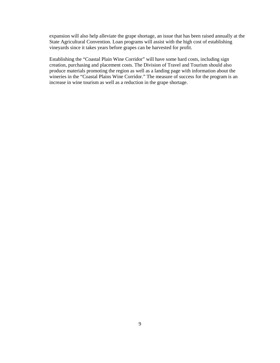expansion will also help alleviate the grape shortage, an issue that has been raised annually at the State Agricultural Convention. Loan programs will assist with the high cost of establishing vineyards since it takes years before grapes can be harvested for profit.

Establishing the "Coastal Plain Wine Corridor" will have some hard costs, including sign creation, purchasing and placement costs. The Division of Travel and Tourism should also produce materials promoting the region as well as a landing page with information about the wineries in the "Coastal Plains Wine Corridor." The measure of success for the program is an increase in wine tourism as well as a reduction in the grape shortage.